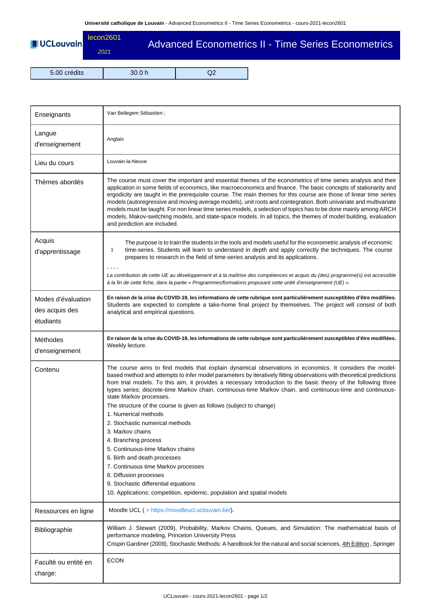| UCLouvain lecon2601 | 2021 | Advanced Econometrics II - Time Series Econometrics |
|---------------------|------|-----------------------------------------------------|
|                     |      |                                                     |

5.00 crédits 30.0 h Q2

| Enseignants                                       | Van Bellegem Sébastien;                                                                                                                                                                                                                                                                                                                                                                                                                                                                                                                                                                                                                                                                                                                                                                                                                                                                                                            |  |  |  |  |
|---------------------------------------------------|------------------------------------------------------------------------------------------------------------------------------------------------------------------------------------------------------------------------------------------------------------------------------------------------------------------------------------------------------------------------------------------------------------------------------------------------------------------------------------------------------------------------------------------------------------------------------------------------------------------------------------------------------------------------------------------------------------------------------------------------------------------------------------------------------------------------------------------------------------------------------------------------------------------------------------|--|--|--|--|
| Langue<br>d'enseignement                          | Anglais                                                                                                                                                                                                                                                                                                                                                                                                                                                                                                                                                                                                                                                                                                                                                                                                                                                                                                                            |  |  |  |  |
| Lieu du cours                                     | Louvain-la-Neuve                                                                                                                                                                                                                                                                                                                                                                                                                                                                                                                                                                                                                                                                                                                                                                                                                                                                                                                   |  |  |  |  |
| Thèmes abordés                                    | The course must cover the important and essential themes of the econometrics of time series analysis and their<br>application in some fields of economics, like macroeconomics and finance. The basic concepts of stationarity and<br>ergodicity are taught in the prerequisite course. The main themes for this course are those of linear time series<br>models (autoregressive and moving average models), unit roots and cointegration. Both univariate and multivariate<br>models must be taught. For non linear time series models, a selection of topics has to be done mainly among ARCH<br>models, Makov-switching models, and state-space models. In all topics, the themes of model building, evaluation<br>and prediction are included.                                                                                                                                                                                |  |  |  |  |
| Acquis<br>d'apprentissage                         | The purpose is to train the students in the tools and models useful for the econometric analysis of economic<br>time-series. Students will learn to understand in depth and apply correctly the techniques. The course<br>$\mathbf{1}$<br>prepares to research in the field of time-series analysis and its applications.<br>La contribution de cette UE au développement et à la maîtrise des compétences et acquis du (des) programme(s) est accessible<br>à la fin de cette fiche, dans la partie « Programmes/formations proposant cette unité d'enseignement (UE) ».                                                                                                                                                                                                                                                                                                                                                          |  |  |  |  |
| Modes d'évaluation<br>des acquis des<br>étudiants | En raison de la crise du COVID-19, les informations de cette rubrique sont particulièrement susceptibles d'être modifiées.<br>Students are expected to complete a take-home final project by themselves. The project will consist of both<br>analytical and empirical questions.                                                                                                                                                                                                                                                                                                                                                                                                                                                                                                                                                                                                                                                   |  |  |  |  |
| Méthodes<br>d'enseignement                        | En raison de la crise du COVID-19, les informations de cette rubrique sont particulièrement susceptibles d'être modifiées.<br>Weekly lecture.                                                                                                                                                                                                                                                                                                                                                                                                                                                                                                                                                                                                                                                                                                                                                                                      |  |  |  |  |
| Contenu                                           | The course aims to find models that explain dynamical observations in economics. It considers the model-<br>based method and attempts to infer model parameters by iteratively fitting observations with theoretical predictions<br>from trial models. To this aim, it provides a necessary introduction to the basic theory of the following three<br>types series: discrete-time Markov chain, continuous-time Markov chain, and continuous-time and continuous-<br>state Markov processes.<br>The structure of the course is given as follows (subject to change)<br>1. Numerical methods<br>2. Stochastic numerical methods<br>3. Markov chains<br>4. Branching process<br>5. Continuous-time Markov chains<br>6. Birth and death processes<br>7. Continuous time Markov processes<br>8. Diffusion processes<br>9. Stochastic differential equations<br>10. Applications: competition, epidemic, population and spatial models |  |  |  |  |
| Ressources en ligne                               | Moodle UCL ( > https://moodleucl.uclouvain.be/).                                                                                                                                                                                                                                                                                                                                                                                                                                                                                                                                                                                                                                                                                                                                                                                                                                                                                   |  |  |  |  |
| Bibliographie                                     | William J. Stewart (2009), Probability, Markov Chains, Queues, and Simulation: The mathematical basis of<br>performance modeling, Princeton University Press<br>Crispin Gardiner (2009), Stochastic Methods: A handbook for the natural and social sciences, 4th Edition, Springer                                                                                                                                                                                                                                                                                                                                                                                                                                                                                                                                                                                                                                                 |  |  |  |  |
| Faculté ou entité en<br>charge:                   | <b>ECON</b>                                                                                                                                                                                                                                                                                                                                                                                                                                                                                                                                                                                                                                                                                                                                                                                                                                                                                                                        |  |  |  |  |